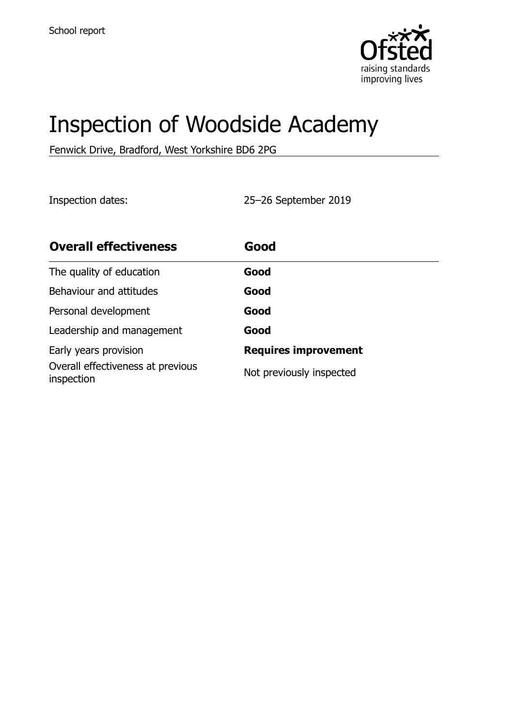

# Inspection of Woodside Academy

Fenwick Drive, Bradford, West Yorkshire BD6 2PG

Inspection dates: 25–26 September 2019

| <b>Overall effectiveness</b>                    | Good                        |
|-------------------------------------------------|-----------------------------|
| The quality of education                        | Good                        |
| Behaviour and attitudes                         | Good                        |
| Personal development                            | Good                        |
| Leadership and management                       | Good                        |
| Early years provision                           | <b>Requires improvement</b> |
| Overall effectiveness at previous<br>inspection | Not previously inspected    |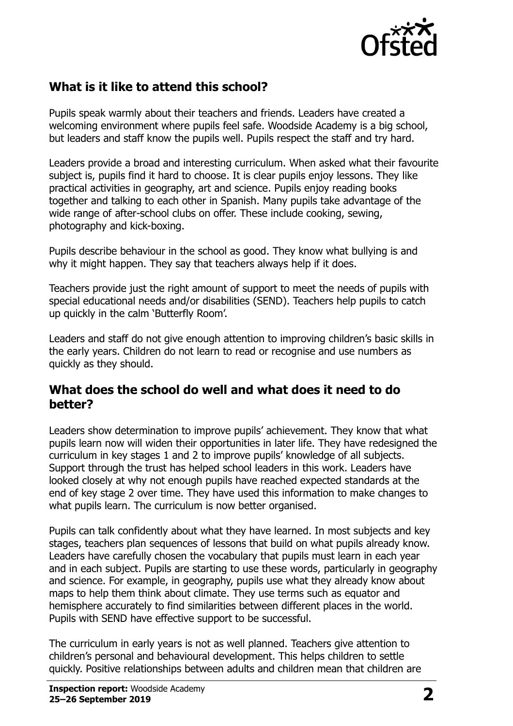

## **What is it like to attend this school?**

Pupils speak warmly about their teachers and friends. Leaders have created a welcoming environment where pupils feel safe. Woodside Academy is a big school, but leaders and staff know the pupils well. Pupils respect the staff and try hard.

Leaders provide a broad and interesting curriculum. When asked what their favourite subject is, pupils find it hard to choose. It is clear pupils enjoy lessons. They like practical activities in geography, art and science. Pupils enjoy reading books together and talking to each other in Spanish. Many pupils take advantage of the wide range of after-school clubs on offer. These include cooking, sewing, photography and kick-boxing.

Pupils describe behaviour in the school as good. They know what bullying is and why it might happen. They say that teachers always help if it does.

Teachers provide just the right amount of support to meet the needs of pupils with special educational needs and/or disabilities (SEND). Teachers help pupils to catch up quickly in the calm 'Butterfly Room'.

Leaders and staff do not give enough attention to improving children's basic skills in the early years. Children do not learn to read or recognise and use numbers as quickly as they should.

#### **What does the school do well and what does it need to do better?**

Leaders show determination to improve pupils' achievement. They know that what pupils learn now will widen their opportunities in later life. They have redesigned the curriculum in key stages 1 and 2 to improve pupils' knowledge of all subjects. Support through the trust has helped school leaders in this work. Leaders have looked closely at why not enough pupils have reached expected standards at the end of key stage 2 over time. They have used this information to make changes to what pupils learn. The curriculum is now better organised.

Pupils can talk confidently about what they have learned. In most subjects and key stages, teachers plan sequences of lessons that build on what pupils already know. Leaders have carefully chosen the vocabulary that pupils must learn in each year and in each subject. Pupils are starting to use these words, particularly in geography and science. For example, in geography, pupils use what they already know about maps to help them think about climate. They use terms such as equator and hemisphere accurately to find similarities between different places in the world. Pupils with SEND have effective support to be successful.

The curriculum in early years is not as well planned. Teachers give attention to children's personal and behavioural development. This helps children to settle quickly. Positive relationships between adults and children mean that children are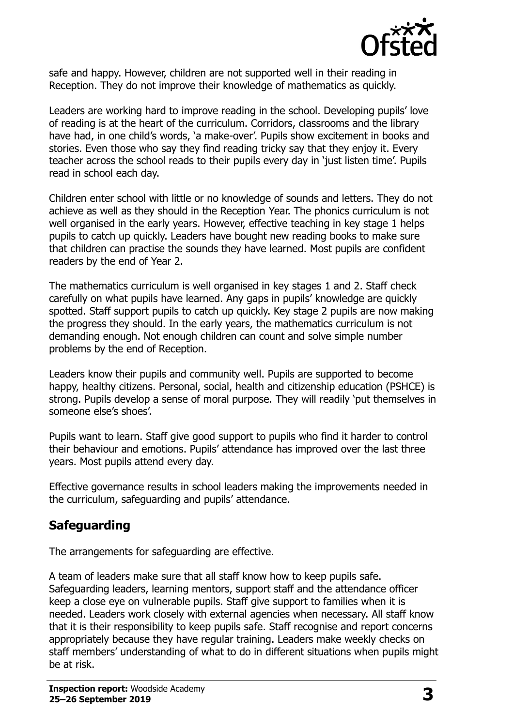

safe and happy. However, children are not supported well in their reading in Reception. They do not improve their knowledge of mathematics as quickly.

Leaders are working hard to improve reading in the school. Developing pupils' love of reading is at the heart of the curriculum. Corridors, classrooms and the library have had, in one child's words, 'a make-over'. Pupils show excitement in books and stories. Even those who say they find reading tricky say that they enjoy it. Every teacher across the school reads to their pupils every day in 'just listen time'. Pupils read in school each day.

Children enter school with little or no knowledge of sounds and letters. They do not achieve as well as they should in the Reception Year. The phonics curriculum is not well organised in the early years. However, effective teaching in key stage 1 helps pupils to catch up quickly. Leaders have bought new reading books to make sure that children can practise the sounds they have learned. Most pupils are confident readers by the end of Year 2.

The mathematics curriculum is well organised in key stages 1 and 2. Staff check carefully on what pupils have learned. Any gaps in pupils' knowledge are quickly spotted. Staff support pupils to catch up quickly. Key stage 2 pupils are now making the progress they should. In the early years, the mathematics curriculum is not demanding enough. Not enough children can count and solve simple number problems by the end of Reception.

Leaders know their pupils and community well. Pupils are supported to become happy, healthy citizens. Personal, social, health and citizenship education (PSHCE) is strong. Pupils develop a sense of moral purpose. They will readily 'put themselves in someone else's shoes'.

Pupils want to learn. Staff give good support to pupils who find it harder to control their behaviour and emotions. Pupils' attendance has improved over the last three years. Most pupils attend every day.

Effective governance results in school leaders making the improvements needed in the curriculum, safeguarding and pupils' attendance.

## **Safeguarding**

The arrangements for safeguarding are effective.

A team of leaders make sure that all staff know how to keep pupils safe. Safeguarding leaders, learning mentors, support staff and the attendance officer keep a close eye on vulnerable pupils. Staff give support to families when it is needed. Leaders work closely with external agencies when necessary. All staff know that it is their responsibility to keep pupils safe. Staff recognise and report concerns appropriately because they have regular training. Leaders make weekly checks on staff members' understanding of what to do in different situations when pupils might be at risk.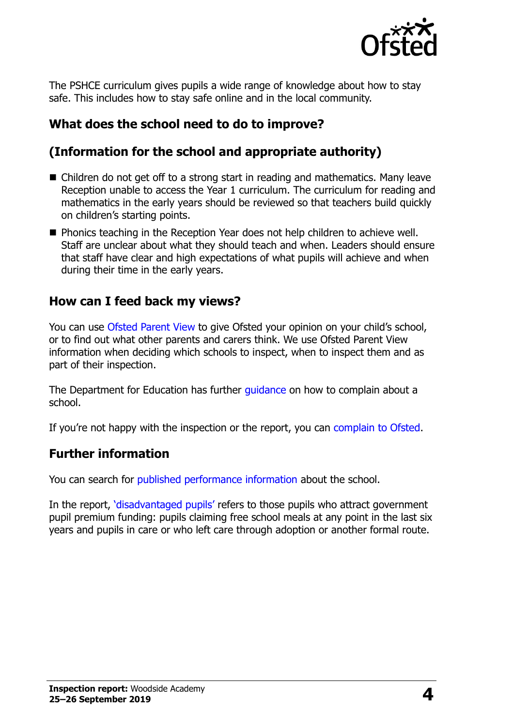

The PSHCE curriculum gives pupils a wide range of knowledge about how to stay safe. This includes how to stay safe online and in the local community.

## **What does the school need to do to improve?**

## **(Information for the school and appropriate authority)**

- Children do not get off to a strong start in reading and mathematics. Many leave Reception unable to access the Year 1 curriculum. The curriculum for reading and mathematics in the early years should be reviewed so that teachers build quickly on children's starting points.
- **Phonics teaching in the Reception Year does not help children to achieve well.** Staff are unclear about what they should teach and when. Leaders should ensure that staff have clear and high expectations of what pupils will achieve and when during their time in the early years.

#### **How can I feed back my views?**

You can use [Ofsted Parent View](http://parentview.ofsted.gov.uk/) to give Ofsted your opinion on your child's school, or to find out what other parents and carers think. We use Ofsted Parent View information when deciding which schools to inspect, when to inspect them and as part of their inspection.

The Department for Education has further quidance on how to complain about a school.

If you're not happy with the inspection or the report, you can [complain to Ofsted.](http://www.gov.uk/complain-ofsted-report)

### **Further information**

You can search for [published performance information](http://www.compare-school-performance.service.gov.uk/) about the school.

In the report, '[disadvantaged pupils](http://www.gov.uk/guidance/pupil-premium-information-for-schools-and-alternative-provision-settings)' refers to those pupils who attract government pupil premium funding: pupils claiming free school meals at any point in the last six years and pupils in care or who left care through adoption or another formal route.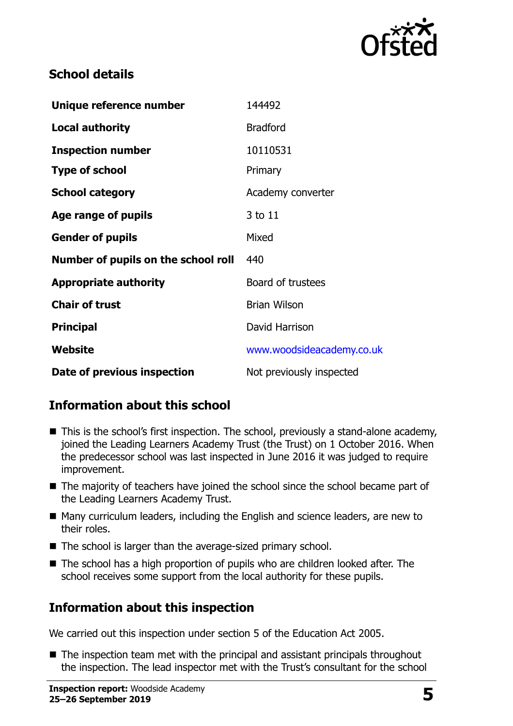

## **School details**

| Unique reference number             | 144492                    |
|-------------------------------------|---------------------------|
| <b>Local authority</b>              | <b>Bradford</b>           |
| <b>Inspection number</b>            | 10110531                  |
| <b>Type of school</b>               | Primary                   |
| <b>School category</b>              | Academy converter         |
| Age range of pupils                 | 3 to 11                   |
| <b>Gender of pupils</b>             | Mixed                     |
| Number of pupils on the school roll | 440                       |
| <b>Appropriate authority</b>        | Board of trustees         |
| <b>Chair of trust</b>               | <b>Brian Wilson</b>       |
| <b>Principal</b>                    | David Harrison            |
| Website                             | www.woodsideacademy.co.uk |
| Date of previous inspection         | Not previously inspected  |

## **Information about this school**

- This is the school's first inspection. The school, previously a stand-alone academy, joined the Leading Learners Academy Trust (the Trust) on 1 October 2016. When the predecessor school was last inspected in June 2016 it was judged to require improvement.
- The majority of teachers have joined the school since the school became part of the Leading Learners Academy Trust.
- Many curriculum leaders, including the English and science leaders, are new to their roles.
- The school is larger than the average-sized primary school.
- The school has a high proportion of pupils who are children looked after. The school receives some support from the local authority for these pupils.

## **Information about this inspection**

We carried out this inspection under section 5 of the Education Act 2005.

■ The inspection team met with the principal and assistant principals throughout the inspection. The lead inspector met with the Trust's consultant for the school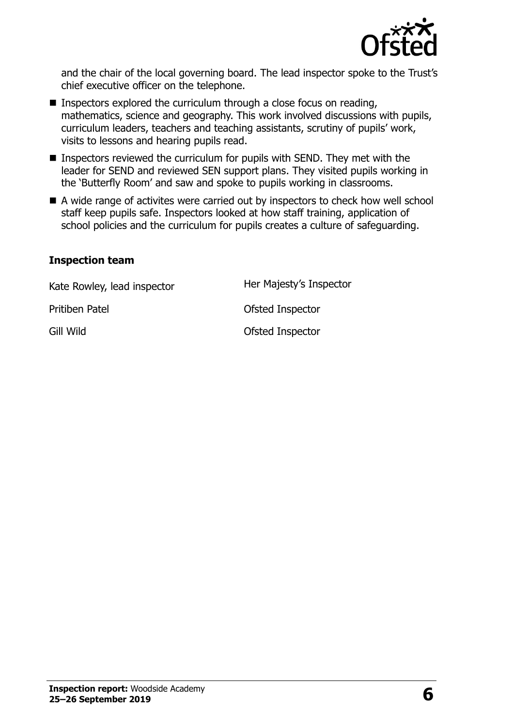

and the chair of the local governing board. The lead inspector spoke to the Trust's chief executive officer on the telephone.

- **Inspectors explored the curriculum through a close focus on reading,** mathematics, science and geography. This work involved discussions with pupils, curriculum leaders, teachers and teaching assistants, scrutiny of pupils' work, visits to lessons and hearing pupils read.
- Inspectors reviewed the curriculum for pupils with SEND. They met with the leader for SEND and reviewed SEN support plans. They visited pupils working in the 'Butterfly Room' and saw and spoke to pupils working in classrooms.
- A wide range of activites were carried out by inspectors to check how well school staff keep pupils safe. Inspectors looked at how staff training, application of school policies and the curriculum for pupils creates a culture of safeguarding.

#### **Inspection team**

Kate Rowley, lead inspector **Her Majesty's Inspector** Pritiben Patel **Disk Contact Priticipal Priticipal Priticipal Priticipal Priticipal Priticipal Priticipal Priticipal Priticipal Priticipal Priticipal Priticipal Priticipal Priticipal Priticipal Priticipal Priticipal Pritic** Gill Wild **Gill Wild**